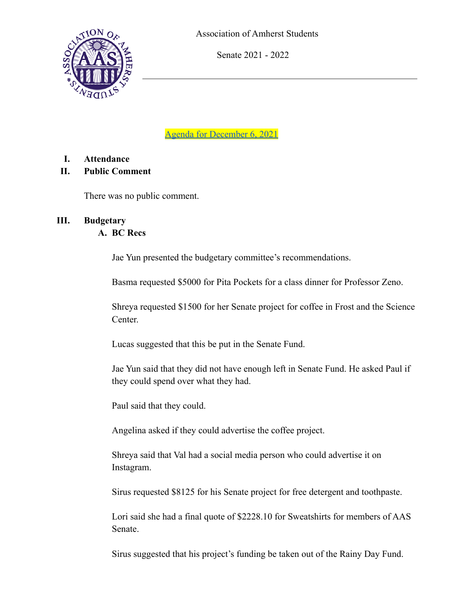

Senate 2021 - 2022

[Agenda for December 6, 2021](https://amherstcollege.zoom.us/j/97736314179)

- **I. Attendance**
- **II. Public Comment**

There was no public comment.

## **III. Budgetary**

## **A. BC Recs**

Jae Yun presented the budgetary committee's recommendations.

Basma requested \$5000 for Pita Pockets for a class dinner for Professor Zeno.

Shreya requested \$1500 for her Senate project for coffee in Frost and the Science Center.

Lucas suggested that this be put in the Senate Fund.

Jae Yun said that they did not have enough left in Senate Fund. He asked Paul if they could spend over what they had.

Paul said that they could.

Angelina asked if they could advertise the coffee project.

Shreya said that Val had a social media person who could advertise it on Instagram.

Sirus requested \$8125 for his Senate project for free detergent and toothpaste.

Lori said she had a final quote of \$2228.10 for Sweatshirts for members of AAS Senate.

Sirus suggested that his project's funding be taken out of the Rainy Day Fund.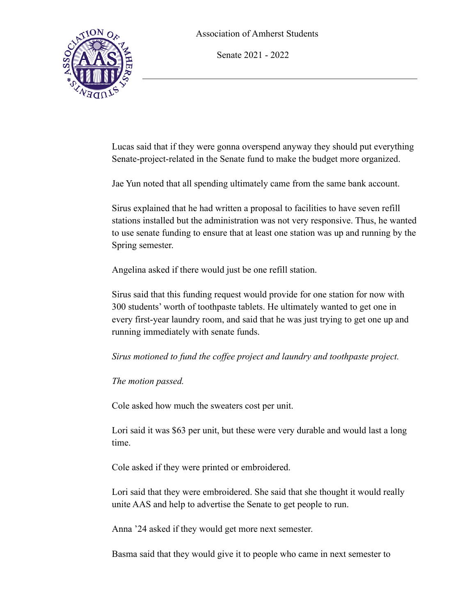Senate 2021 - 2022



Lucas said that if they were gonna overspend anyway they should put everything Senate-project-related in the Senate fund to make the budget more organized.

Jae Yun noted that all spending ultimately came from the same bank account.

Sirus explained that he had written a proposal to facilities to have seven refill stations installed but the administration was not very responsive. Thus, he wanted to use senate funding to ensure that at least one station was up and running by the Spring semester.

Angelina asked if there would just be one refill station.

Sirus said that this funding request would provide for one station for now with 300 students' worth of toothpaste tablets. He ultimately wanted to get one in every first-year laundry room, and said that he was just trying to get one up and running immediately with senate funds.

*Sirus motioned to fund the coffee project and laundry and toothpaste project.*

*The motion passed.*

Cole asked how much the sweaters cost per unit.

Lori said it was \$63 per unit, but these were very durable and would last a long time.

Cole asked if they were printed or embroidered.

Lori said that they were embroidered. She said that she thought it would really unite AAS and help to advertise the Senate to get people to run.

Anna '24 asked if they would get more next semester.

Basma said that they would give it to people who came in next semester to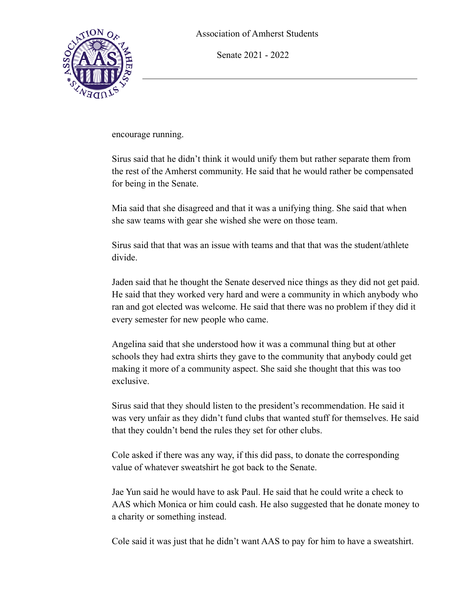



encourage running.

Sirus said that he didn't think it would unify them but rather separate them from the rest of the Amherst community. He said that he would rather be compensated for being in the Senate.

Mia said that she disagreed and that it was a unifying thing. She said that when she saw teams with gear she wished she were on those team.

Sirus said that that was an issue with teams and that that was the student/athlete divide.

Jaden said that he thought the Senate deserved nice things as they did not get paid. He said that they worked very hard and were a community in which anybody who ran and got elected was welcome. He said that there was no problem if they did it every semester for new people who came.

Angelina said that she understood how it was a communal thing but at other schools they had extra shirts they gave to the community that anybody could get making it more of a community aspect. She said she thought that this was too exclusive.

Sirus said that they should listen to the president's recommendation. He said it was very unfair as they didn't fund clubs that wanted stuff for themselves. He said that they couldn't bend the rules they set for other clubs.

Cole asked if there was any way, if this did pass, to donate the corresponding value of whatever sweatshirt he got back to the Senate.

Jae Yun said he would have to ask Paul. He said that he could write a check to AAS which Monica or him could cash. He also suggested that he donate money to a charity or something instead.

Cole said it was just that he didn't want AAS to pay for him to have a sweatshirt.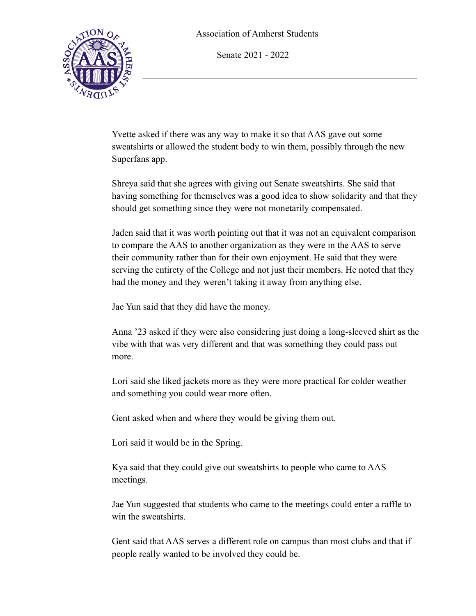Senate 2021 - 2022



Yvette asked if there was any way to make it so that AAS gave out some sweatshirts or allowed the student body to win them, possibly through the new Superfans app.

Shreya said that she agrees with giving out Senate sweatshirts. She said that having something for themselves was a good idea to show solidarity and that they should get something since they were not monetarily compensated.

Jaden said that it was worth pointing out that it was not an equivalent comparison to compare the AAS to another organization as they were in the AAS to serve their community rather than for their own enjoyment. He said that they were serving the entirety of the College and not just their members. He noted that they had the money and they weren't taking it away from anything else.

Jae Yun said that they did have the money.

Anna '23 asked if they were also considering just doing a long-sleeved shirt as the vibe with that was very different and that was something they could pass out more.

Lori said she liked jackets more as they were more practical for colder weather and something you could wear more often.

Gent asked when and where they would be giving them out.

Lori said it would be in the Spring.

Kya said that they could give out sweatshirts to people who came to AAS meetings.

Jae Yun suggested that students who came to the meetings could enter a raffle to win the sweatshirts.

Gent said that AAS serves a different role on campus than most clubs and that if people really wanted to be involved they could be.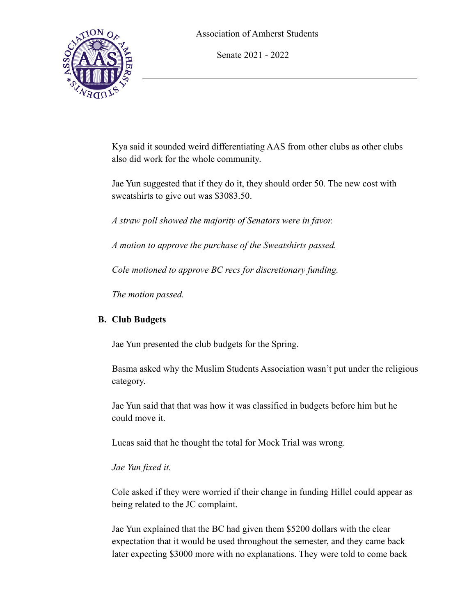



Kya said it sounded weird differentiating AAS from other clubs as other clubs also did work for the whole community.

Jae Yun suggested that if they do it, they should order 50. The new cost with sweatshirts to give out was \$3083.50.

*A straw poll showed the majority of Senators were in favor.*

*A motion to approve the purchase of the Sweatshirts passed.*

*Cole motioned to approve BC recs for discretionary funding.*

*The motion passed.*

# **B. Club Budgets**

Jae Yun presented the club budgets for the Spring.

Basma asked why the Muslim Students Association wasn't put under the religious category.

Jae Yun said that that was how it was classified in budgets before him but he could move it.

Lucas said that he thought the total for Mock Trial was wrong.

# *Jae Yun fixed it.*

Cole asked if they were worried if their change in funding Hillel could appear as being related to the JC complaint.

Jae Yun explained that the BC had given them \$5200 dollars with the clear expectation that it would be used throughout the semester, and they came back later expecting \$3000 more with no explanations. They were told to come back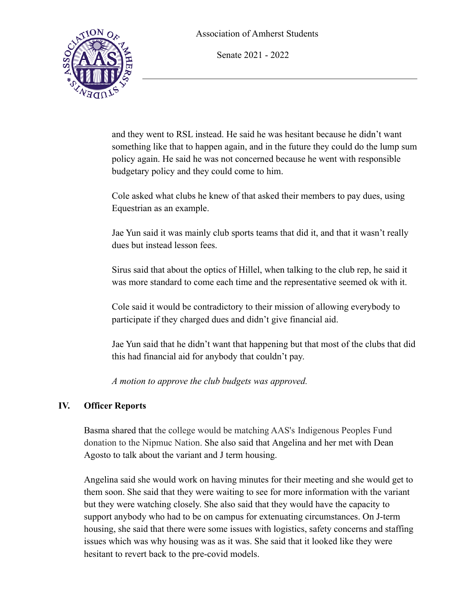Senate 2021 - 2022



and they went to RSL instead. He said he was hesitant because he didn't want something like that to happen again, and in the future they could do the lump sum policy again. He said he was not concerned because he went with responsible budgetary policy and they could come to him.

Cole asked what clubs he knew of that asked their members to pay dues, using Equestrian as an example.

Jae Yun said it was mainly club sports teams that did it, and that it wasn't really dues but instead lesson fees.

Sirus said that about the optics of Hillel, when talking to the club rep, he said it was more standard to come each time and the representative seemed ok with it.

Cole said it would be contradictory to their mission of allowing everybody to participate if they charged dues and didn't give financial aid.

Jae Yun said that he didn't want that happening but that most of the clubs that did this had financial aid for anybody that couldn't pay.

*A motion to approve the club budgets was approved.*

## **IV. Officer Reports**

Basma shared that the college would be matching AAS's Indigenous Peoples Fund donation to the Nipmuc Nation. She also said that Angelina and her met with Dean Agosto to talk about the variant and J term housing.

Angelina said she would work on having minutes for their meeting and she would get to them soon. She said that they were waiting to see for more information with the variant but they were watching closely. She also said that they would have the capacity to support anybody who had to be on campus for extenuating circumstances. On J-term housing, she said that there were some issues with logistics, safety concerns and staffing issues which was why housing was as it was. She said that it looked like they were hesitant to revert back to the pre-covid models.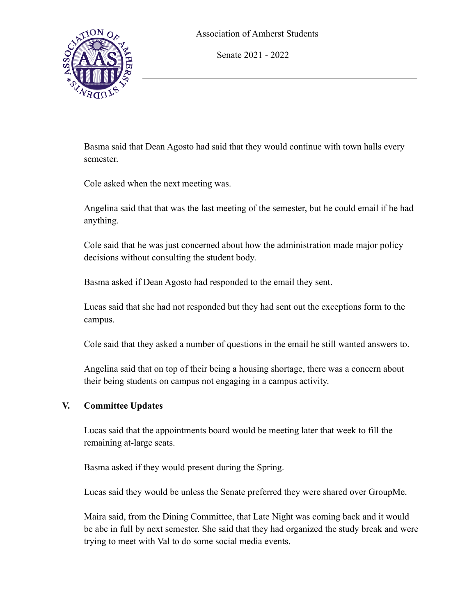Senate 2021 - 2022



Basma said that Dean Agosto had said that they would continue with town halls every semester.

Cole asked when the next meeting was.

Angelina said that that was the last meeting of the semester, but he could email if he had anything.

Cole said that he was just concerned about how the administration made major policy decisions without consulting the student body.

Basma asked if Dean Agosto had responded to the email they sent.

Lucas said that she had not responded but they had sent out the exceptions form to the campus.

Cole said that they asked a number of questions in the email he still wanted answers to.

Angelina said that on top of their being a housing shortage, there was a concern about their being students on campus not engaging in a campus activity.

### **V. Committee Updates**

Lucas said that the appointments board would be meeting later that week to fill the remaining at-large seats.

Basma asked if they would present during the Spring.

Lucas said they would be unless the Senate preferred they were shared over GroupMe.

Maira said, from the Dining Committee, that Late Night was coming back and it would be abc in full by next semester. She said that they had organized the study break and were trying to meet with Val to do some social media events.